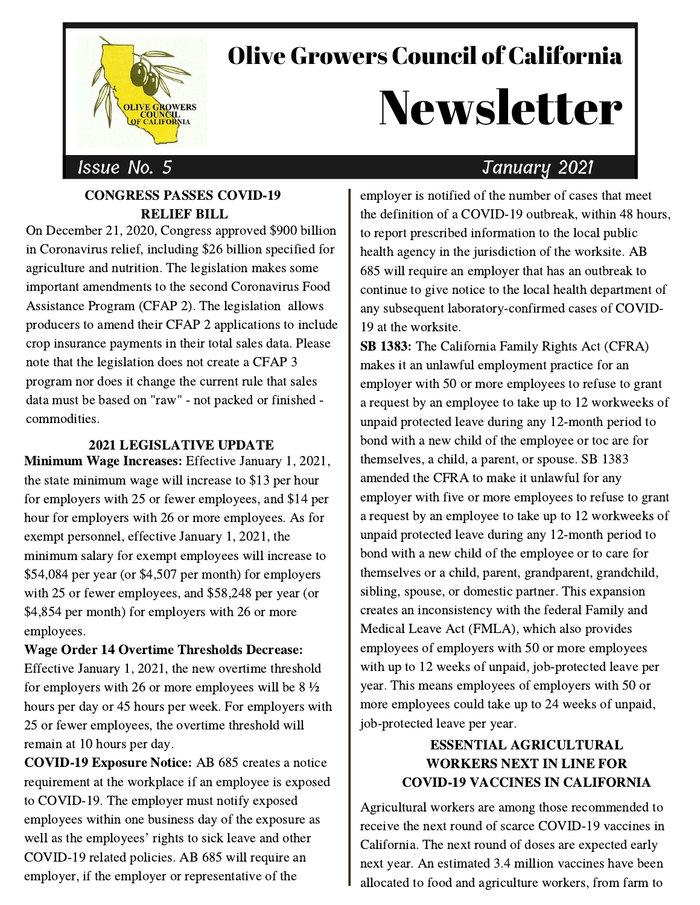

# Olive Growers Council of California

# Newsletter

#### CONGRESS PASSES COVID-19 RELIEF BILL

On December 21, 2020, Congress approved \$900 billion in Coronavirus relief, including \$26 billion specified for agriculture and nutrition. The legislation makes some important amendments to the second Coronavirus Food Assistance Program (CFAP 2). The legislation allows producers to amend their CFAP 2 applications to include crop insurance payments in their total sales data. Please note that the legislation does not create a CFAP 3 program nor does it change the current rule that sales data must be based on "raw" - not packed or finished commodities.

#### 2021 LEGISLATIVE UPDATE

Minimum Wage Increases: Effective January 1, 2021, the state minimum wage will increase to \$13 per hour for employers with 25 or fewer employees, and \$14 per hour for employers with 26 or more employees. As for exempt personnel, effective January 1, 2021, the minimum salary for exempt employees will increase to \$54,084 per year (or \$4,507 per month) for employers with 25 or fewer employees, and \$58,248 per year (or \$4,854 per month) for employers with 26 or more employees.

#### Wage Order 14 Overtime Thresholds Decrease:

Effective January 1, 2021, the new overtime threshold for employers with 26 or more employees will be  $8\frac{1}{2}$ hours per day or 45 hours per week. For employers with 25 or fewer employees, the overtime threshold will remain at 10 hours per day.

COVID-19 Exposure Notice: AB 685 creates a notice requirement at the workplace if an employee is exposed to COVID-19. The employer must notify exposed employees within one business day of the exposure as<br>well as the employees' rights to sick leave and other COVID-19 related policies. AB 685 will require an employer, if the employer or representative of the

### Issue No. 5 January 2021

employer is notified of the number of cases that meet the definition of a COVID-19 outbreak, within 48 hours, to report prescribed information to the local public health agency in the jurisdiction of the worksite. AB 685 will require an employer that has an outbreak to continue to give notice to the local health department of any subsequent laboratory-confirmed cases of COVID-19 at the worksite.

SB 1383: The California Family Rights Act (CFRA) makes it an unlawful employment practice for an employer with 50 or more employees to refuse to grant a request by an employee to take up to 12 workweeks of unpaid protected leave during any 12-month period to bond with a new child of the employee or toc are for themselves, a child, a parent, or spouse. SB 1383 amended the CFRA to make it unlawful for any employer with five or more employees to refuse to grant a request by an employee to take up to 12 workweeks of unpaid protected leave during any 12-month period to bond with a new child of the employee or to care for themselves or a child, parent, grandparent, grandchild, sibling, spouse, or domestic partner. This expansion creates an inconsistency with the federal Family and Medical Leave Act (FMLA), which also provides employees of employers with 50 or more employees with up to 12 weeks of unpaid, job-protected leave per year. This means employees of employers with 50 or more employees could take up to 24 weeks of unpaid, job-protected leave per year.

#### ESSENTIAL AGRICULTURAL WORKERS NEXT IN LINE FOR COVID-19 VACCINES IN CALIFORNIA

Agricultural workers are among those recommended to receive the next round of scarce COVID-19 vaccines in California. The next round of doses are expected early next year. An estimated 3.4 million vaccines have been allocated to food and agriculture workers, from farm to